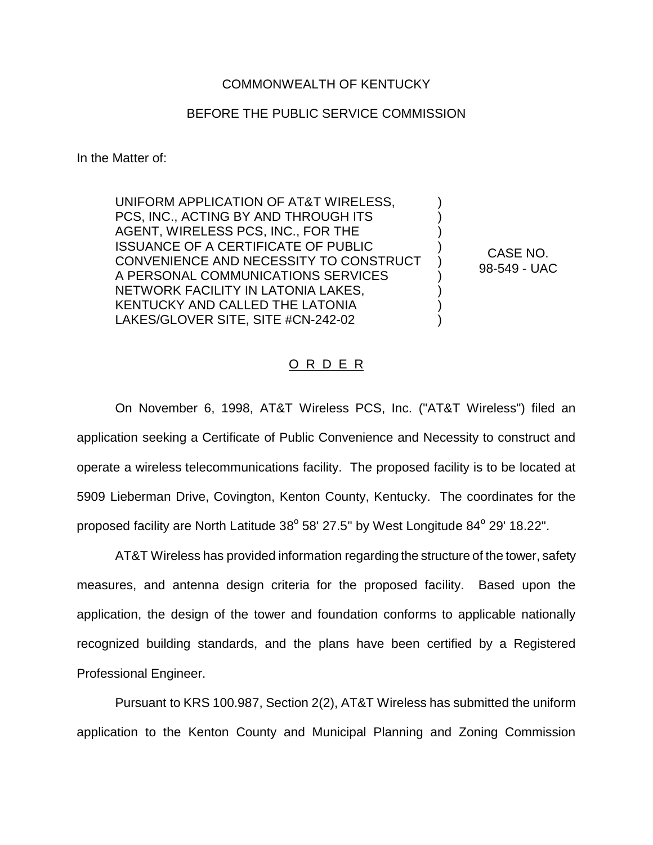## COMMONWEALTH OF KENTUCKY

## BEFORE THE PUBLIC SERVICE COMMISSION

In the Matter of:

UNIFORM APPLICATION OF AT&T WIRELESS, PCS, INC., ACTING BY AND THROUGH ITS AGENT, WIRELESS PCS, INC., FOR THE ISSUANCE OF A CERTIFICATE OF PUBLIC CONVENIENCE AND NECESSITY TO CONSTRUCT A PERSONAL COMMUNICATIONS SERVICES NETWORK FACILITY IN LATONIA LAKES, KENTUCKY AND CALLED THE LATONIA LAKES/GLOVER SITE, SITE #CN-242-02

CASE NO. 98-549 - UAC

) ) ) ) ) ) ) ) )

## O R D E R

On November 6, 1998, AT&T Wireless PCS, Inc. ("AT&T Wireless") filed an application seeking a Certificate of Public Convenience and Necessity to construct and operate a wireless telecommunications facility. The proposed facility is to be located at 5909 Lieberman Drive, Covington, Kenton County, Kentucky. The coordinates for the proposed facility are North Latitude  $38^{\circ}$  58' 27.5" by West Longitude  $84^{\circ}$  29' 18.22".

AT&T Wireless has provided information regarding the structure of the tower, safety measures, and antenna design criteria for the proposed facility. Based upon the application, the design of the tower and foundation conforms to applicable nationally recognized building standards, and the plans have been certified by a Registered Professional Engineer.

Pursuant to KRS 100.987, Section 2(2), AT&T Wireless has submitted the uniform application to the Kenton County and Municipal Planning and Zoning Commission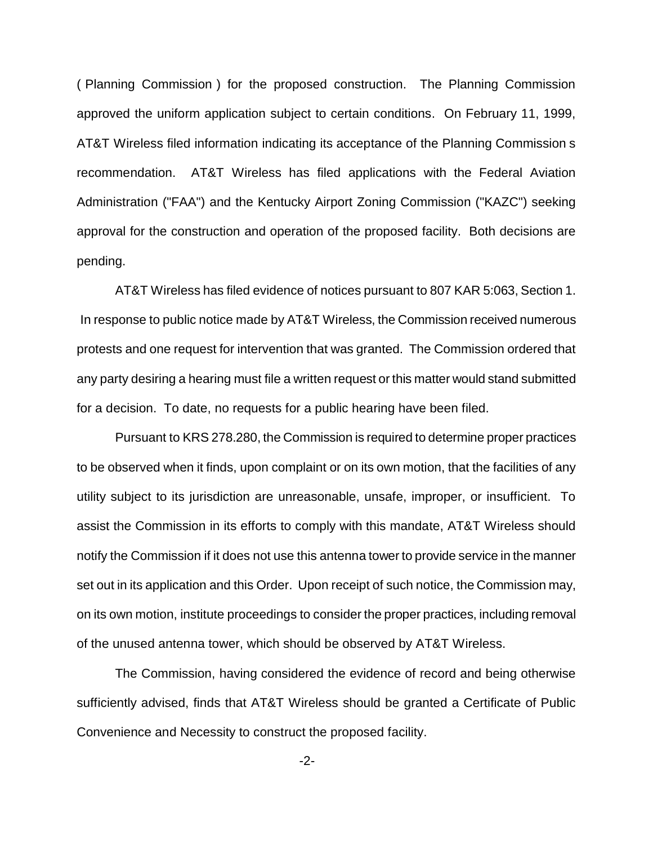( Planning Commission ) for the proposed construction. The Planning Commission approved the uniform application subject to certain conditions. On February 11, 1999, AT&T Wireless filed information indicating its acceptance of the Planning Commission s recommendation. AT&T Wireless has filed applications with the Federal Aviation Administration ("FAA") and the Kentucky Airport Zoning Commission ("KAZC") seeking approval for the construction and operation of the proposed facility. Both decisions are pending.

AT&T Wireless has filed evidence of notices pursuant to 807 KAR 5:063, Section 1. In response to public notice made by AT&T Wireless, the Commission received numerous protests and one request for intervention that was granted. The Commission ordered that any party desiring a hearing must file a written request or this matter would stand submitted for a decision. To date, no requests for a public hearing have been filed.

Pursuant to KRS 278.280, the Commission is required to determine proper practices to be observed when it finds, upon complaint or on its own motion, that the facilities of any utility subject to its jurisdiction are unreasonable, unsafe, improper, or insufficient. To assist the Commission in its efforts to comply with this mandate, AT&T Wireless should notify the Commission if it does not use this antenna tower to provide service in the manner set out in its application and this Order. Upon receipt of such notice, the Commission may, on its own motion, institute proceedings to consider the proper practices, including removal of the unused antenna tower, which should be observed by AT&T Wireless.

The Commission, having considered the evidence of record and being otherwise sufficiently advised, finds that AT&T Wireless should be granted a Certificate of Public Convenience and Necessity to construct the proposed facility.

-2-